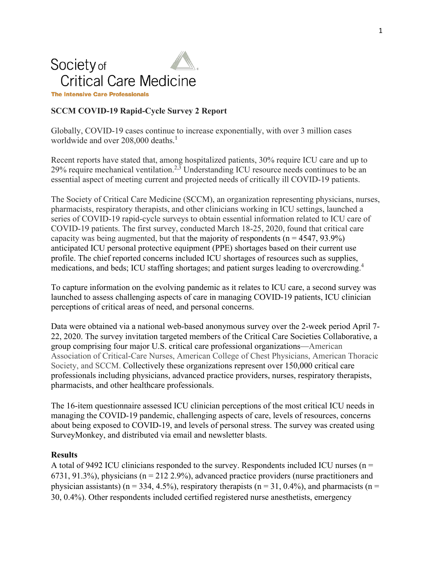# Society of **Critical Care Medicine**

**The Intensive Care Professionals** 

# **SCCM COVID-19 Rapid-Cycle Survey 2 Report**

Globally, COVID-19 cases continue to increase exponentially, with over 3 million cases worldwide and over 208,000 deaths. 1

Recent reports have stated that, among hospitalized patients, 30% require ICU care and up to 29% require mechanical ventilation.<sup>2, 3</sup> Understanding ICU resource needs continues to be an essential aspect of meeting current and projected needs of critically ill COVID-19 patients.

The Society of Critical Care Medicine (SCCM), an organization representing physicians, nurses, pharmacists, respiratory therapists, and other clinicians working in ICU settings, launched a series of COVID-19 rapid-cycle surveys to obtain essential information related to ICU care of COVID-19 patients. The first survey, conducted March 18-25, 2020, found that critical care capacity was being augmented, but that the majority of respondents  $(n = 4547, 93.9\%)$ anticipated ICU personal protective equipment (PPE) shortages based on their current use profile. The chief reported concerns included ICU shortages of resources such as supplies, medications, and beds; ICU staffing shortages; and patient surges leading to overcrowding.<sup>4</sup>

To capture information on the evolving pandemic as it relates to ICU care, a second survey was launched to assess challenging aspects of care in managing COVID-19 patients, ICU clinician perceptions of critical areas of need, and personal concerns.

Data were obtained via a national web-based anonymous survey over the 2-week period April 7- 22, 2020. The survey invitation targeted members of the Critical Care Societies Collaborative, a group comprising four major U.S. critical care professional organizations—American Association of Critical-Care Nurses, American College of Chest Physicians, American Thoracic Society, and SCCM. Collectively these organizations represent over 150,000 critical care professionals including physicians, advanced practice providers, nurses, respiratory therapists, pharmacists, and other healthcare professionals.

The 16-item questionnaire assessed ICU clinician perceptions of the most critical ICU needs in managing the COVID-19 pandemic, challenging aspects of care, levels of resources, concerns about being exposed to COVID-19, and levels of personal stress. The survey was created using SurveyMonkey, and distributed via email and newsletter blasts.

#### **Results**

A total of 9492 ICU clinicians responded to the survey. Respondents included ICU nurses ( $n =$ 6731, 91.3%), physicians (n = 212 2.9%), advanced practice providers (nurse practitioners and physician assistants) ( $n = 334, 4.5\%$ ), respiratory therapists ( $n = 31, 0.4\%$ ), and pharmacists ( $n =$ 30, 0.4%). Other respondents included certified registered nurse anesthetists, emergency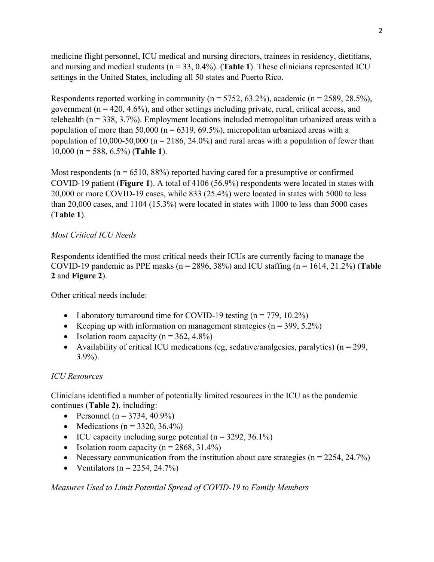medicine flight personnel, ICU medical and nursing directors, trainees in residency, dietitians, and nursing and medical students ( $n = 33$ , 0.4%). (**Table 1**). These clinicians represented ICU settings in the United States, including all 50 states and Puerto Rico.

Respondents reported working in community ( $n = 5752, 63.2\%$ ), academic ( $n = 2589, 28.5\%$ ), government ( $n = 420, 4.6\%$ ), and other settings including private, rural, critical access, and telehealth ( $n = 338, 3.7\%$ ). Employment locations included metropolitan urbanized areas with a population of more than 50,000 ( $n = 6319, 69.5\%$ ), micropolitan urbanized areas with a population of 10,000-50,000 ( $n = 2186$ , 24.0%) and rural areas with a population of fewer than 10,000 (n = 588, 6.5%) (**Table 1**).

Most respondents ( $n = 6510, 88\%$ ) reported having cared for a presumptive or confirmed COVID-19 patient (**Figure 1**). A total of 4106 (56.9%) respondents were located in states with 20,000 or more COVID-19 cases, while 833 (25.4%) were located in states with 5000 to less than 20,000 cases, and 1104 (15.3%) were located in states with 1000 to less than 5000 cases (**Table 1**).

## *Most Critical ICU Needs*

Respondents identified the most critical needs their ICUs are currently facing to manage the COVID-19 pandemic as PPE masks ( $n = 2896, 38\%$ ) and ICU staffing ( $n = 1614, 21.2\%$ ) (**Table 2** and **Figure 2**).

Other critical needs include:

- Laboratory turnaround time for COVID-19 testing  $(n = 779, 10.2\%)$
- Keeping up with information on management strategies  $(n = 399, 5.2\%)$
- Isolation room capacity ( $n = 362, 4.8\%$ )
- Availability of critical ICU medications (eg, sedative/analgesics, paralytics) ( $n = 299$ , 3.9%).

## *ICU Resources*

Clinicians identified a number of potentially limited resources in the ICU as the pandemic continues (**Table 2)**, including:

- Personnel ( $n = 3734, 40.9\%$ )
- Medications ( $n = 3320, 36.4\%$ )
- ICU capacity including surge potential  $(n = 3292, 36.1\%)$
- Isolation room capacity ( $n = 2868, 31.4\%$ )
- Necessary communication from the institution about care strategies  $(n = 2254, 24.7%)$
- Ventilators ( $n = 2254, 24.7\%$ )

*Measures Used to Limit Potential Spread of COVID-19 to Family Members*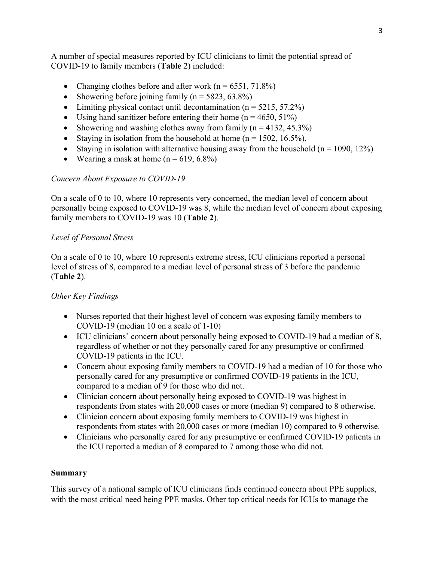A number of special measures reported by ICU clinicians to limit the potential spread of COVID-19 to family members (**Table** 2) included:

- Changing clothes before and after work  $(n = 6551, 71.8\%)$
- Showering before joining family  $(n = 5823, 63.8\%)$
- Limiting physical contact until decontamination  $(n = 5215, 57.2%)$
- Using hand sanitizer before entering their home  $(n = 4650, 51\%)$
- Showering and washing clothes away from family  $(n = 4132, 45.3\%)$
- Staying in isolation from the household at home  $(n = 1502, 16.5\%)$ ,
- Staying in isolation with alternative housing away from the household  $(n = 1090, 12\%)$
- Wearing a mask at home  $(n = 619, 6.8\%)$

## *Concern About Exposure to COVID-19*

On a scale of 0 to 10, where 10 represents very concerned, the median level of concern about personally being exposed to COVID-19 was 8, while the median level of concern about exposing family members to COVID-19 was 10 (**Table 2**).

#### *Level of Personal Stress*

On a scale of 0 to 10, where 10 represents extreme stress, ICU clinicians reported a personal level of stress of 8, compared to a median level of personal stress of 3 before the pandemic (**Table 2**).

## *Other Key Findings*

- Nurses reported that their highest level of concern was exposing family members to COVID-19 (median 10 on a scale of 1-10)
- ICU clinicians' concern about personally being exposed to COVID-19 had a median of 8, regardless of whether or not they personally cared for any presumptive or confirmed COVID-19 patients in the ICU.
- Concern about exposing family members to COVID-19 had a median of 10 for those who personally cared for any presumptive or confirmed COVID-19 patients in the ICU, compared to a median of 9 for those who did not.
- Clinician concern about personally being exposed to COVID-19 was highest in respondents from states with 20,000 cases or more (median 9) compared to 8 otherwise.
- Clinician concern about exposing family members to COVID-19 was highest in respondents from states with 20,000 cases or more (median 10) compared to 9 otherwise.
- Clinicians who personally cared for any presumptive or confirmed COVID-19 patients in the ICU reported a median of 8 compared to 7 among those who did not.

#### **Summary**

This survey of a national sample of ICU clinicians finds continued concern about PPE supplies, with the most critical need being PPE masks. Other top critical needs for ICUs to manage the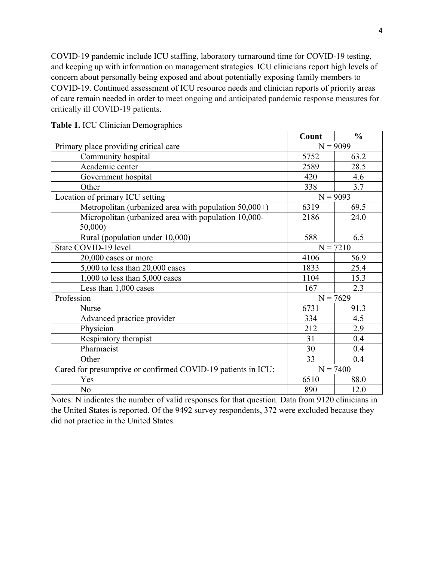COVID-19 pandemic include ICU staffing, laboratory turnaround time for COVID-19 testing, and keeping up with information on management strategies. ICU clinicians report high levels of concern about personally being exposed and about potentially exposing family members to COVID-19. Continued assessment of ICU resource needs and clinician reports of priority areas of care remain needed in order to meet ongoing and anticipated pandemic response measures for critically ill COVID-19 patients.

|                                                              | Count      | $\frac{0}{0}$ |
|--------------------------------------------------------------|------------|---------------|
| Primary place providing critical care                        | $N = 9099$ |               |
| Community hospital                                           | 5752       | 63.2          |
| Academic center                                              | 2589       | 28.5          |
| Government hospital                                          | 420        | 4.6           |
| Other                                                        | 338        | 3.7           |
| Location of primary ICU setting                              | $N = 9093$ |               |
| Metropolitan (urbanized area with population $50,000+$ )     | 6319       | 69.5          |
| Micropolitan (urbanized area with population 10,000-         | 2186       | 24.0          |
| 50,000)                                                      |            |               |
| Rural (population under 10,000)                              | 588        | 6.5           |
| State COVID-19 level                                         | $N = 7210$ |               |
| 20,000 cases or more                                         | 4106       | 56.9          |
| $5,000$ to less than $20,000$ cases                          | 1833       | 25.4          |
| 1,000 to less than $5,000$ cases                             | 1104       | 15.3          |
| Less than 1,000 cases                                        | 167        | 2.3           |
| Profession                                                   | $N = 7629$ |               |
| <b>Nurse</b>                                                 | 6731       | 91.3          |
| Advanced practice provider                                   | 334        | 4.5           |
| Physician                                                    | 212        | 2.9           |
| Respiratory therapist                                        | 31         | 0.4           |
| Pharmacist                                                   | 30         | 0.4           |
| Other                                                        | 33         | 0.4           |
| Cared for presumptive or confirmed COVID-19 patients in ICU: | $N = 7400$ |               |
| Yes                                                          | 6510       | 88.0          |
| No                                                           | 890        | 12.0          |

| Table 1. ICU Clinician Demographics |  |  |  |  |
|-------------------------------------|--|--|--|--|
|-------------------------------------|--|--|--|--|

Notes: N indicates the number of valid responses for that question. Data from 9120 clinicians in the United States is reported. Of the 9492 survey respondents, 372 were excluded because they did not practice in the United States.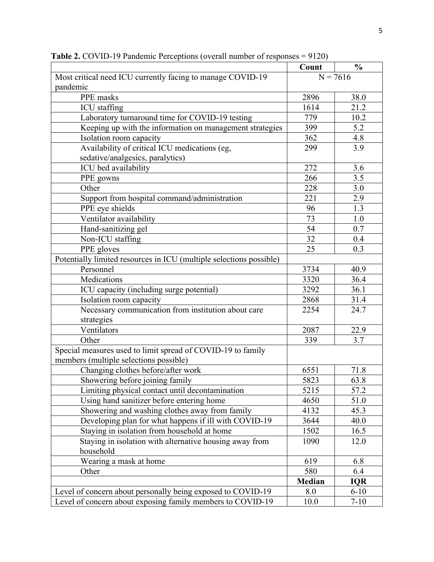|                                                                     | Count         | $\frac{0}{0}$ |
|---------------------------------------------------------------------|---------------|---------------|
| Most critical need ICU currently facing to manage COVID-19          | $N = 7616$    |               |
| pandemic                                                            |               |               |
| PPE masks                                                           | 2896          | 38.0          |
| <b>ICU</b> staffing                                                 | 1614          | 21.2          |
| Laboratory turnaround time for COVID-19 testing                     | 779           | 10.2          |
| Keeping up with the information on management strategies            | 399           | 5.2           |
| Isolation room capacity                                             | 362           | 4.8           |
| Availability of critical ICU medications (eg,                       | 299           | 3.9           |
| sedative/analgesics, paralytics)                                    |               |               |
| ICU bed availability                                                | 272           | 3.6           |
| PPE gowns                                                           | 266           | 3.5           |
| Other                                                               | 228           | 3.0           |
| Support from hospital command/administration                        | 221           | 2.9           |
| PPE eye shields                                                     | 96            | 1.3           |
| Ventilator availability                                             | 73            | 1.0           |
| Hand-sanitizing gel                                                 | 54            | 0.7           |
| Non-ICU staffing                                                    | 32            | 0.4           |
| PPE gloves                                                          | 25            | 0.3           |
| Potentially limited resources in ICU (multiple selections possible) |               |               |
| Personnel                                                           | 3734          | 40.9          |
| Medications                                                         | 3320          | 36.4          |
| ICU capacity (including surge potential)                            | 3292          | 36.1          |
| Isolation room capacity                                             | 2868          | 31.4          |
| Necessary communication from institution about care                 | 2254          | 24.7          |
| strategies                                                          |               |               |
| Ventilators                                                         | 2087          | 22.9          |
| Other                                                               | 339           | 3.7           |
| Special measures used to limit spread of COVID-19 to family         |               |               |
| members (multiple selections possible)                              |               |               |
| Changing clothes before/after work                                  | 6551          | 71.8          |
| Showering before joining family                                     | 5823          | 63.8          |
| Limiting physical contact until decontamination                     | 5215          | 57.2          |
| Using hand sanitizer before entering home                           | 4650          | 51.0          |
| Showering and washing clothes away from family                      | 4132          | 45.3          |
| Developing plan for what happens if ill with COVID-19               | 3644          | 40.0          |
| Staying in isolation from household at home                         | 1502          | 16.5          |
| Staying in isolation with alternative housing away from             | 1090          | 12.0          |
| household                                                           |               |               |
| Wearing a mask at home                                              | 619           | 6.8           |
| Other                                                               | 580           | 6.4           |
|                                                                     | <b>Median</b> | <b>IQR</b>    |
| Level of concern about personally being exposed to COVID-19         | 8.0           | $6 - 10$      |
| Level of concern about exposing family members to COVID-19          | 10.0          | $7 - 10$      |

**Table 2.** COVID-19 Pandemic Perceptions (overall number of responses = 9120)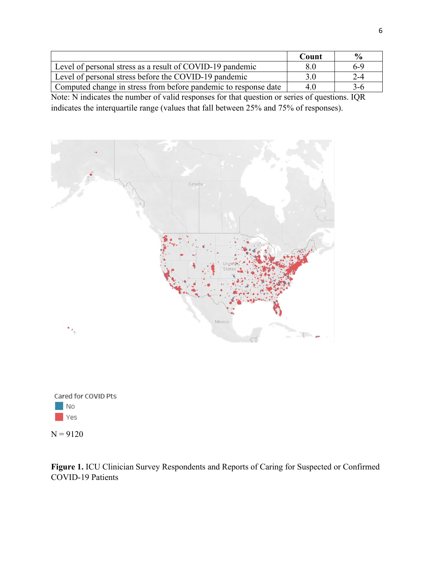|                                                                 | Count | $\frac{0}{\alpha}$ |
|-----------------------------------------------------------------|-------|--------------------|
| Level of personal stress as a result of COVID-19 pandemic       | 8.0   | 6-9                |
| Level of personal stress before the COVID-19 pandemic           | 3.0   | $2 - 4$            |
| Computed change in stress from before pandemic to response date | 40    | 3-6                |

Note: N indicates the number of valid responses for that question or series of questions. IQR indicates the interquartile range (values that fall between 25% and 75% of responses).



Cared for COVID Pts  $\blacksquare$  No Yes

 $N = 9120$ 

**Figure 1.** ICU Clinician Survey Respondents and Reports of Caring for Suspected or Confirmed COVID-19 Patients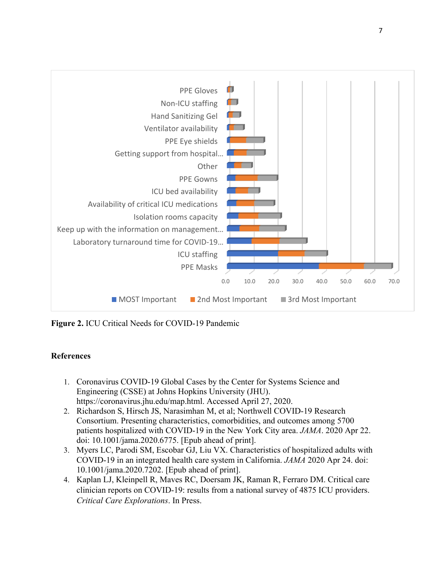

**Figure 2.** ICU Critical Needs for COVID-19 Pandemic

## **References**

- 1. Coronavirus COVID-19 Global Cases by the Center for Systems Science and Engineering (CSSE) at Johns Hopkins University (JHU). https://coronavirus.jhu.edu/map.html. Accessed April 27, 2020.
- 2. Richardson S, Hirsch JS, Narasimhan M, et al; Northwell COVID-19 Research Consortium. Presenting characteristics, comorbidities, and outcomes among 5700 patients hospitalized with COVID-19 in the New York City area. *JAMA*. 2020 Apr 22. doi: 10.1001/jama.2020.6775. [Epub ahead of print].
- 3. Myers LC, Parodi SM, Escobar GJ, Liu VX. Characteristics of hospitalized adults with COVID-19 in an integrated health care system in California. *JAMA* 2020 Apr 24. doi: 10.1001/jama.2020.7202. [Epub ahead of print].
- 4. Kaplan LJ, Kleinpell R, Maves RC, Doersam JK, Raman R, Ferraro DM. Critical care clinician reports on COVID-19: results from a national survey of 4875 ICU providers. *Critical Care Explorations*. In Press.